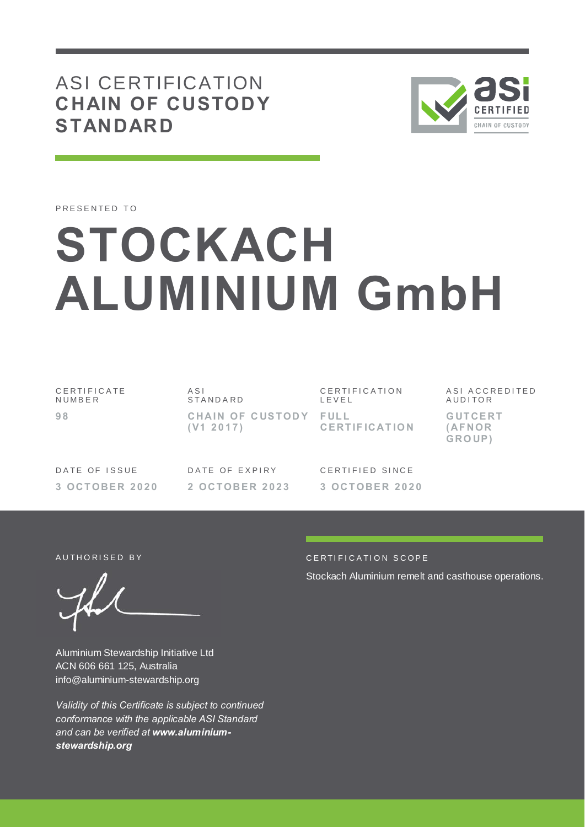# ASI CERTIFICATION **CHAIN OF CUSTODY STANDARD**



PRESENTED TO

# **STOCKACH ALUMINIUM GmbH**

C E R T I F I C A T E **NUMBER 9 8**

A S I **STANDARD CHAIN OF CUSTODY FULL ( V1 2 0 1 7 )**

C E R T I F I C A T I O N L E V E L **CE RT IF ICAT IO N** ASI ACCREDITED **AUDITOR G UT CE RT ( AF NOR GRO UP )**

DATE OF ISSUE **3 OCT OBE R 2 0 2 0** DATE OF EXPIRY **2 OCT OBE R 2 0 2 3** CERTIFIED SINCE **3 OCT OBE R 2 0 2 0**

Aluminium Stewardship Initiative Ltd ACN 606 661 125, Australia info@aluminium-stewardship.org

*Validity of this Certificate is subject to continued conformance with the applicable ASI Standard and can be verified at www.aluminiumstewardship.org*

#### AUTHORISED BY CERTIFICATION SCOPE

Stockach Aluminium remelt and casthouse operations.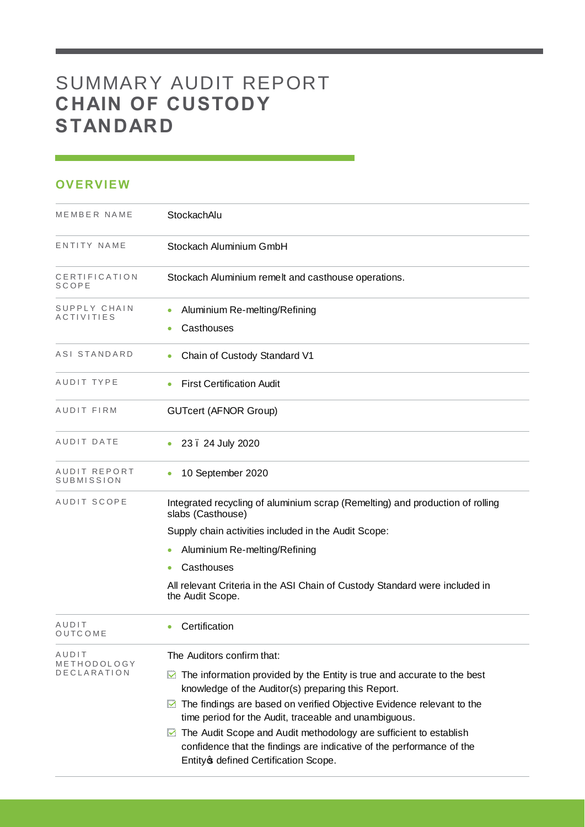# SUMMARY AUDIT REPORT **CHAIN OF CUSTODY STANDARD**

## **OVERVIEW**

| MEMBER NAME                | StockachAlu                                                                                                                                                                                                                                                                                                                                                                                                                                                         |  |  |
|----------------------------|---------------------------------------------------------------------------------------------------------------------------------------------------------------------------------------------------------------------------------------------------------------------------------------------------------------------------------------------------------------------------------------------------------------------------------------------------------------------|--|--|
| ENTITY NAME                | Stockach Aluminium GmbH                                                                                                                                                                                                                                                                                                                                                                                                                                             |  |  |
| CERTIFICATION<br>SCOPE     | Stockach Aluminium remelt and casthouse operations.                                                                                                                                                                                                                                                                                                                                                                                                                 |  |  |
| SUPPLY CHAIN<br>ACTIVITIES | Aluminium Re-melting/Refining<br>Casthouses                                                                                                                                                                                                                                                                                                                                                                                                                         |  |  |
| ASI STANDARD               | Chain of Custody Standard V1<br>٠                                                                                                                                                                                                                                                                                                                                                                                                                                   |  |  |
| AUDIT TYPE                 | <b>First Certification Audit</b>                                                                                                                                                                                                                                                                                                                                                                                                                                    |  |  |
| AUDIT FIRM                 | <b>GUTcert (AFNOR Group)</b>                                                                                                                                                                                                                                                                                                                                                                                                                                        |  |  |
| AUDIT DATE                 | 23. 24 July 2020                                                                                                                                                                                                                                                                                                                                                                                                                                                    |  |  |
| AUDIT REPORT<br>SUBMISSION | 10 September 2020                                                                                                                                                                                                                                                                                                                                                                                                                                                   |  |  |
| AUDIT SCOPE                | Integrated recycling of aluminium scrap (Remelting) and production of rolling<br>slabs (Casthouse)                                                                                                                                                                                                                                                                                                                                                                  |  |  |
|                            | Supply chain activities included in the Audit Scope:                                                                                                                                                                                                                                                                                                                                                                                                                |  |  |
|                            | Aluminium Re-melting/Refining<br>$\bullet$                                                                                                                                                                                                                                                                                                                                                                                                                          |  |  |
|                            | Casthouses                                                                                                                                                                                                                                                                                                                                                                                                                                                          |  |  |
|                            | All relevant Criteria in the ASI Chain of Custody Standard were included in<br>the Audit Scope.                                                                                                                                                                                                                                                                                                                                                                     |  |  |
| AUDIT<br>OUTCOME           | Certification                                                                                                                                                                                                                                                                                                                                                                                                                                                       |  |  |
| AUDIT                      | The Auditors confirm that:                                                                                                                                                                                                                                                                                                                                                                                                                                          |  |  |
| METHODOLOGY<br>DECLARATION | The information provided by the Entity is true and accurate to the best<br>M<br>knowledge of the Auditor(s) preparing this Report.<br>The findings are based on verified Objective Evidence relevant to the<br>M<br>time period for the Audit, traceable and unambiguous.<br>▶ The Audit Scope and Audit methodology are sufficient to establish<br>confidence that the findings are indicative of the performance of the<br>Entity of defined Certification Scope. |  |  |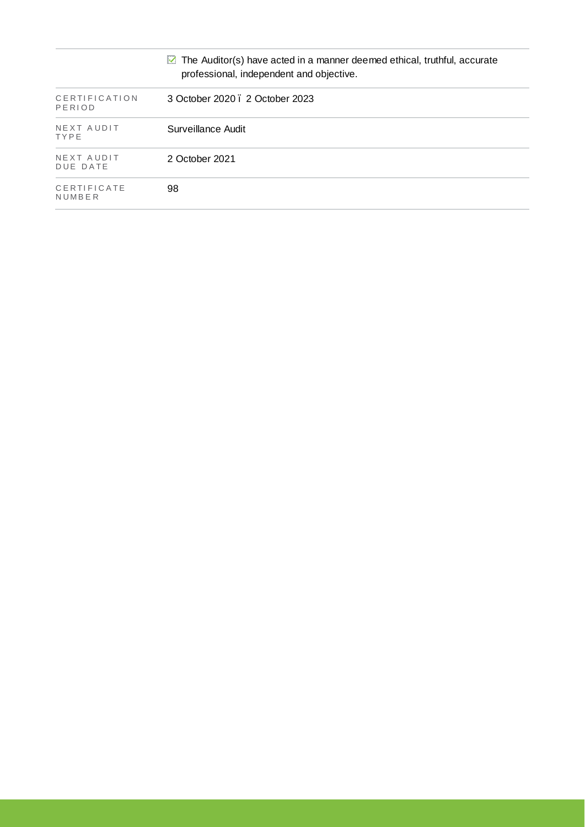|                           | $\boxtimes$ The Auditor(s) have acted in a manner deemed ethical, truthful, accurate<br>professional, independent and objective. |
|---------------------------|----------------------------------------------------------------------------------------------------------------------------------|
| CERTIFICATION<br>PERIOD   | 3 October 2020 . 2 October 2023                                                                                                  |
| NEXT AUDIT<br><b>TYPE</b> | Surveillance Audit                                                                                                               |
| NEXT AUDIT<br>DUE DATE    | 2 October 2021                                                                                                                   |
| CERTIFICATE<br>NUMBER     | 98                                                                                                                               |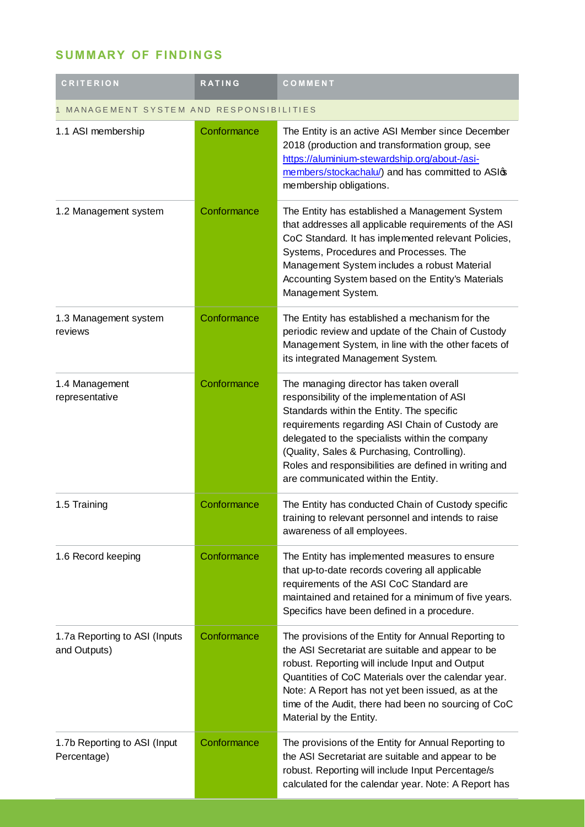## **SUMMARY OF FINDINGS**

| <b>CRITERION</b>                              | <b>RATING</b> | COMMENT                                                                                                                                                                                                                                                                                                                                                                                  |  |
|-----------------------------------------------|---------------|------------------------------------------------------------------------------------------------------------------------------------------------------------------------------------------------------------------------------------------------------------------------------------------------------------------------------------------------------------------------------------------|--|
| MANAGEMENT SYSTEM AND RESPONSIBILITIES        |               |                                                                                                                                                                                                                                                                                                                                                                                          |  |
| 1.1 ASI membership                            | Conformance   | The Entity is an active ASI Member since December<br>2018 (production and transformation group, see<br>https://aluminium-stewardship.org/about-/asi-<br>members/stockachalu/) and has committed to ASIG<br>membership obligations.                                                                                                                                                       |  |
| 1.2 Management system                         | Conformance   | The Entity has established a Management System<br>that addresses all applicable requirements of the ASI<br>CoC Standard. It has implemented relevant Policies,<br>Systems, Procedures and Processes. The<br>Management System includes a robust Material<br>Accounting System based on the Entity's Materials<br>Management System.                                                      |  |
| 1.3 Management system<br>reviews              | Conformance   | The Entity has established a mechanism for the<br>periodic review and update of the Chain of Custody<br>Management System, in line with the other facets of<br>its integrated Management System.                                                                                                                                                                                         |  |
| 1.4 Management<br>representative              | Conformance   | The managing director has taken overall<br>responsibility of the implementation of ASI<br>Standards within the Entity. The specific<br>requirements regarding ASI Chain of Custody are<br>delegated to the specialists within the company<br>(Quality, Sales & Purchasing, Controlling).<br>Roles and responsibilities are defined in writing and<br>are communicated within the Entity. |  |
| 1.5 Training                                  | Conformance   | The Entity has conducted Chain of Custody specific<br>training to relevant personnel and intends to raise<br>awareness of all employees.                                                                                                                                                                                                                                                 |  |
| 1.6 Record keeping                            | Conformance   | The Entity has implemented measures to ensure<br>that up-to-date records covering all applicable<br>requirements of the ASI CoC Standard are<br>maintained and retained for a minimum of five years.<br>Specifics have been defined in a procedure.                                                                                                                                      |  |
| 1.7a Reporting to ASI (Inputs<br>and Outputs) | Conformance   | The provisions of the Entity for Annual Reporting to<br>the ASI Secretariat are suitable and appear to be<br>robust. Reporting will include Input and Output<br>Quantities of CoC Materials over the calendar year.<br>Note: A Report has not yet been issued, as at the<br>time of the Audit, there had been no sourcing of CoC<br>Material by the Entity.                              |  |
| 1.7b Reporting to ASI (Input<br>Percentage)   | Conformance   | The provisions of the Entity for Annual Reporting to<br>the ASI Secretariat are suitable and appear to be<br>robust. Reporting will include Input Percentage/s<br>calculated for the calendar year. Note: A Report has                                                                                                                                                                   |  |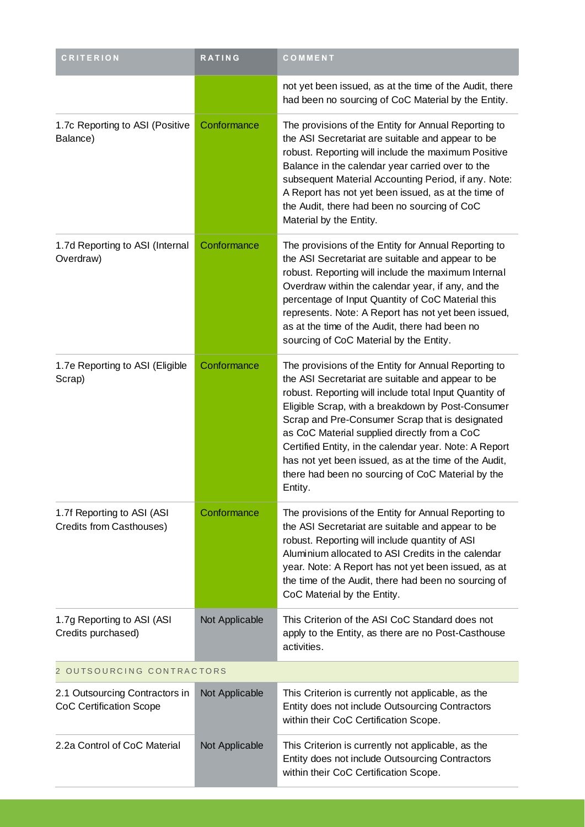| <b>CRITERION</b>                                                 | <b>RATING</b>  | COMMENT                                                                                                                                                                                                                                                                                                                                                                                                                                                                                                        |  |
|------------------------------------------------------------------|----------------|----------------------------------------------------------------------------------------------------------------------------------------------------------------------------------------------------------------------------------------------------------------------------------------------------------------------------------------------------------------------------------------------------------------------------------------------------------------------------------------------------------------|--|
|                                                                  |                | not yet been issued, as at the time of the Audit, there<br>had been no sourcing of CoC Material by the Entity.                                                                                                                                                                                                                                                                                                                                                                                                 |  |
| 1.7c Reporting to ASI (Positive<br>Balance)                      | Conformance    | The provisions of the Entity for Annual Reporting to<br>the ASI Secretariat are suitable and appear to be<br>robust. Reporting will include the maximum Positive<br>Balance in the calendar year carried over to the<br>subsequent Material Accounting Period, if any. Note:<br>A Report has not yet been issued, as at the time of<br>the Audit, there had been no sourcing of CoC<br>Material by the Entity.                                                                                                 |  |
| 1.7d Reporting to ASI (Internal<br>Overdraw)                     | Conformance    | The provisions of the Entity for Annual Reporting to<br>the ASI Secretariat are suitable and appear to be<br>robust. Reporting will include the maximum Internal<br>Overdraw within the calendar year, if any, and the<br>percentage of Input Quantity of CoC Material this<br>represents. Note: A Report has not yet been issued,<br>as at the time of the Audit, there had been no<br>sourcing of CoC Material by the Entity.                                                                                |  |
| 1.7e Reporting to ASI (Eligible<br>Scrap)                        | Conformance    | The provisions of the Entity for Annual Reporting to<br>the ASI Secretariat are suitable and appear to be<br>robust. Reporting will include total Input Quantity of<br>Eligible Scrap, with a breakdown by Post-Consumer<br>Scrap and Pre-Consumer Scrap that is designated<br>as CoC Material supplied directly from a CoC<br>Certified Entity, in the calendar year. Note: A Report<br>has not yet been issued, as at the time of the Audit,<br>there had been no sourcing of CoC Material by the<br>Entity. |  |
| 1.7f Reporting to ASI (ASI<br>Credits from Casthouses)           | Conformance    | The provisions of the Entity for Annual Reporting to<br>the ASI Secretariat are suitable and appear to be<br>robust. Reporting will include quantity of ASI<br>Aluminium allocated to ASI Credits in the calendar<br>year. Note: A Report has not yet been issued, as at<br>the time of the Audit, there had been no sourcing of<br>CoC Material by the Entity.                                                                                                                                                |  |
| 1.7g Reporting to ASI (ASI<br>Credits purchased)                 | Not Applicable | This Criterion of the ASI CoC Standard does not<br>apply to the Entity, as there are no Post-Casthouse<br>activities.                                                                                                                                                                                                                                                                                                                                                                                          |  |
| 2 OUTSOURCING CONTRACTORS                                        |                |                                                                                                                                                                                                                                                                                                                                                                                                                                                                                                                |  |
| 2.1 Outsourcing Contractors in<br><b>CoC Certification Scope</b> | Not Applicable | This Criterion is currently not applicable, as the<br>Entity does not include Outsourcing Contractors<br>within their CoC Certification Scope.                                                                                                                                                                                                                                                                                                                                                                 |  |
| 2.2a Control of CoC Material                                     | Not Applicable | This Criterion is currently not applicable, as the<br>Entity does not include Outsourcing Contractors<br>within their CoC Certification Scope.                                                                                                                                                                                                                                                                                                                                                                 |  |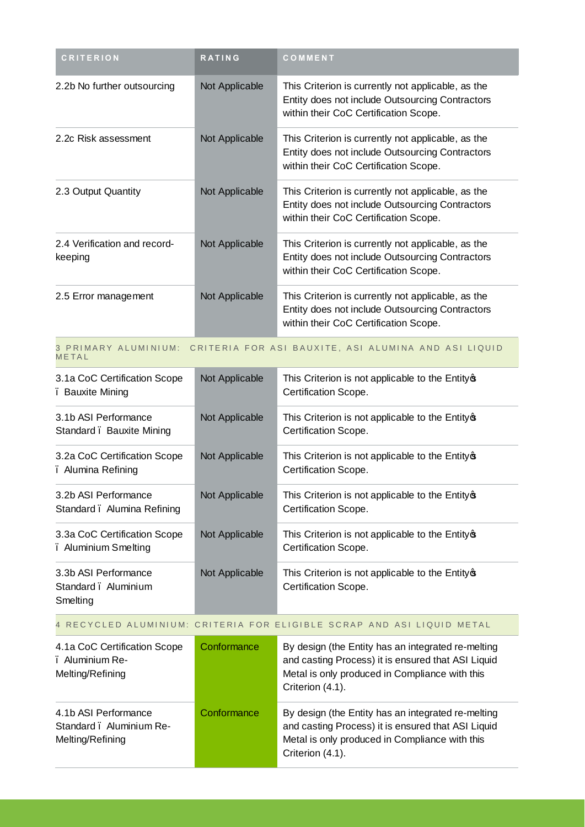| <b>CRITERION</b>                        | <b>RATING</b>  | COMMENT                                                                                                                                        |
|-----------------------------------------|----------------|------------------------------------------------------------------------------------------------------------------------------------------------|
| 2.2b No further outsourcing             | Not Applicable | This Criterion is currently not applicable, as the<br>Entity does not include Outsourcing Contractors<br>within their CoC Certification Scope. |
| 2.2c Risk assessment                    | Not Applicable | This Criterion is currently not applicable, as the<br>Entity does not include Outsourcing Contractors<br>within their CoC Certification Scope. |
| 2.3 Output Quantity                     | Not Applicable | This Criterion is currently not applicable, as the<br>Entity does not include Outsourcing Contractors<br>within their CoC Certification Scope. |
| 2.4 Verification and record-<br>keeping | Not Applicable | This Criterion is currently not applicable, as the<br>Entity does not include Outsourcing Contractors<br>within their CoC Certification Scope. |
| 2.5 Error management                    | Not Applicable | This Criterion is currently not applicable, as the<br>Entity does not include Outsourcing Contractors<br>within their CoC Certification Scope. |

#### 3 PRIMARY ALUMINIUM: CRITERIA FOR ASI BAUXITE, ASI ALUMINA AND ASI LIQUID **METAL**

| 3.1a CoC Certification Scope<br>. Bauxite Mining        | Not Applicable | This Criterion is not applicable to the Entity of<br>Certification Scope. |
|---------------------------------------------------------|----------------|---------------------------------------------------------------------------|
| 3.1b ASI Performance<br>Standard . Bauxite Mining       | Not Applicable | This Criterion is not applicable to the Entity of<br>Certification Scope. |
| 3.2a CoC Certification Scope<br>. Alumina Refining      | Not Applicable | This Criterion is not applicable to the Entity of<br>Certification Scope. |
| 3.2b ASI Performance<br>Standard. Alumina Refining      | Not Applicable | This Criterion is not applicable to the Entity of<br>Certification Scope. |
| 3.3a CoC Certification Scope<br>. Aluminium Smelting    | Not Applicable | This Criterion is not applicable to the Entity of<br>Certification Scope. |
| 3.3b ASI Performance<br>Standard, Aluminium<br>Smelting | Not Applicable | This Criterion is not applicable to the Entity of<br>Certification Scope. |

### 4 RECYCLED ALUMINIUM: CRITERIA FOR ELIGIBLE SCRAP AND ASI LIQUID METAL

the control of the control of the

| 4.1a CoC Certification Scope<br>. Aluminium Re-<br>Melting/Refining  | Conformance | By design (the Entity has an integrated re-melting<br>and casting Process) it is ensured that ASI Liquid<br>Metal is only produced in Compliance with this<br>Criterion (4.1). |
|----------------------------------------------------------------------|-------------|--------------------------------------------------------------------------------------------------------------------------------------------------------------------------------|
| 4.1b ASI Performance<br>Standard . Aluminium Re-<br>Melting/Refining | Conformance | By design (the Entity has an integrated re-melting<br>and casting Process) it is ensured that ASI Liquid<br>Metal is only produced in Compliance with this<br>Criterion (4.1). |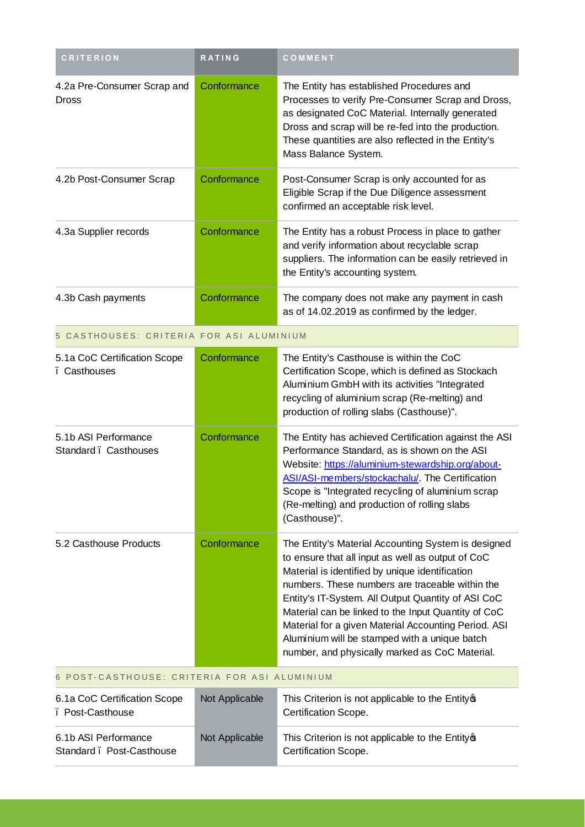| <b>CRITERION</b>                                  | <b>RATING</b>  | COMMENT                                                                                                                                                                                                                                                                                                                                                                                                                                                                                |
|---------------------------------------------------|----------------|----------------------------------------------------------------------------------------------------------------------------------------------------------------------------------------------------------------------------------------------------------------------------------------------------------------------------------------------------------------------------------------------------------------------------------------------------------------------------------------|
| 4.2a Pre-Consumer Scrap and<br><b>Dross</b>       | Conformance    | The Entity has established Procedures and<br>Processes to verify Pre-Consumer Scrap and Dross,<br>as designated CoC Material. Internally generated<br>Dross and scrap will be re-fed into the production.<br>These quantities are also reflected in the Entity's<br>Mass Balance System.                                                                                                                                                                                               |
| 4.2b Post-Consumer Scrap                          | Conformance    | Post-Consumer Scrap is only accounted for as<br>Eligible Scrap if the Due Diligence assessment<br>confirmed an acceptable risk level.                                                                                                                                                                                                                                                                                                                                                  |
| 4.3a Supplier records                             | Conformance    | The Entity has a robust Process in place to gather<br>and verify information about recyclable scrap<br>suppliers. The information can be easily retrieved in<br>the Entity's accounting system.                                                                                                                                                                                                                                                                                        |
| 4.3b Cash payments                                | Conformance    | The company does not make any payment in cash<br>as of 14.02.2019 as confirmed by the ledger.                                                                                                                                                                                                                                                                                                                                                                                          |
| 5 CASTHOUSES: CRITERIA FOR ASI ALUMINIUM          |                |                                                                                                                                                                                                                                                                                                                                                                                                                                                                                        |
| 5.1a CoC Certification Scope<br>. Casthouses      | Conformance    | The Entity's Casthouse is within the CoC<br>Certification Scope, which is defined as Stockach<br>Aluminium GmbH with its activities "Integrated<br>recycling of aluminium scrap (Re-melting) and<br>production of rolling slabs (Casthouse)".                                                                                                                                                                                                                                          |
| 5.1b ASI Performance<br>Standard . Casthouses     | Conformance    | The Entity has achieved Certification against the ASI<br>Performance Standard, as is shown on the ASI<br>Website: https://aluminium-stewardship.org/about-<br>ASI/ASI-members/stockachalu/. The Certification<br>Scope is "Integrated recycling of aluminium scrap<br>(Re-melting) and production of rolling slabs<br>(Casthouse)".                                                                                                                                                    |
| 5.2 Casthouse Products                            | Conformance    | The Entity's Material Accounting System is designed<br>to ensure that all input as well as output of CoC<br>Material is identified by unique identification<br>numbers. These numbers are traceable within the<br>Entity's IT-System. All Output Quantity of ASI CoC<br>Material can be linked to the Input Quantity of CoC<br>Material for a given Material Accounting Period. ASI<br>Aluminium will be stamped with a unique batch<br>number, and physically marked as CoC Material. |
| 6 POST-CASTHOUSE: CRITERIA FOR ASI ALUMINIUM      |                |                                                                                                                                                                                                                                                                                                                                                                                                                                                                                        |
| 6.1a CoC Certification Scope<br>. Post-Casthouse  | Not Applicable | This Criterion is not applicable to the Entity of<br>Certification Scope.                                                                                                                                                                                                                                                                                                                                                                                                              |
| 6.1b ASI Performance<br>Standard . Post-Casthouse | Not Applicable | This Criterion is not applicable to the Entity of<br>Certification Scope.                                                                                                                                                                                                                                                                                                                                                                                                              |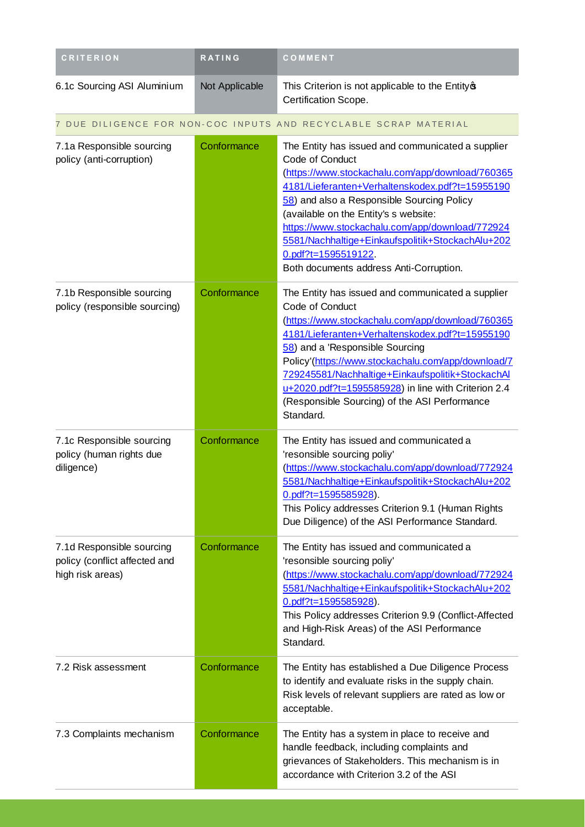| <b>CRITERION</b>                                                               | <b>RATING</b>  | COMMENT                                                                                                                                                                                                                                                                                                                                                                                                                                        |
|--------------------------------------------------------------------------------|----------------|------------------------------------------------------------------------------------------------------------------------------------------------------------------------------------------------------------------------------------------------------------------------------------------------------------------------------------------------------------------------------------------------------------------------------------------------|
| 6.1c Sourcing ASI Aluminium                                                    | Not Applicable | This Criterion is not applicable to the Entity of<br>Certification Scope.                                                                                                                                                                                                                                                                                                                                                                      |
|                                                                                |                | 7 DUE DILIGENCE FOR NON-COC INPUTS AND RECYCLABLE SCRAP MATERIAL                                                                                                                                                                                                                                                                                                                                                                               |
| 7.1a Responsible sourcing<br>policy (anti-corruption)                          | Conformance    | The Entity has issued and communicated a supplier<br>Code of Conduct<br>(https://www.stockachalu.com/app/download/760365<br>4181/Lieferanten+Verhaltenskodex.pdf?t=15955190<br>58) and also a Responsible Sourcing Policy<br>(available on the Entity's s website:<br>https://www.stockachalu.com/app/download/772924<br>5581/Nachhaltige+Einkaufspolitik+StockachAlu+202<br>$0.$ pdf?t=1595519122.<br>Both documents address Anti-Corruption. |
| 7.1b Responsible sourcing<br>policy (responsible sourcing)                     | Conformance    | The Entity has issued and communicated a supplier<br>Code of Conduct<br>(https://www.stockachalu.com/app/download/760365<br>4181/Lieferanten+Verhaltenskodex.pdf?t=15955190<br>58) and a 'Responsible Sourcing<br>Policy'(https://www.stockachalu.com/app/download/7<br>729245581/Nachhaltige+Einkaufspolitik+StockachAl<br>u+2020.pdf?t=1595585928) in line with Criterion 2.4<br>(Responsible Sourcing) of the ASI Performance<br>Standard.  |
| 7.1c Responsible sourcing<br>policy (human rights due<br>diligence)            | Conformance    | The Entity has issued and communicated a<br>'resonsible sourcing poliy'<br>(https://www.stockachalu.com/app/download/772924<br>5581/Nachhaltige+Einkaufspolitik+StockachAlu+202<br>$0.$ pdf?t=1595585928).<br>This Policy addresses Criterion 9.1 (Human Rights<br>Due Diligence) of the ASI Performance Standard.                                                                                                                             |
| 7.1d Responsible sourcing<br>policy (conflict affected and<br>high risk areas) | Conformance    | The Entity has issued and communicated a<br>'resonsible sourcing poliy'<br>(https://www.stockachalu.com/app/download/772924<br>5581/Nachhaltige+Einkaufspolitik+StockachAlu+202<br>$0.$ pdf?t=1595585928).<br>This Policy addresses Criterion 9.9 (Conflict-Affected<br>and High-Risk Areas) of the ASI Performance<br>Standard.                                                                                                               |
| 7.2 Risk assessment                                                            | Conformance    | The Entity has established a Due Diligence Process<br>to identify and evaluate risks in the supply chain.<br>Risk levels of relevant suppliers are rated as low or<br>acceptable.                                                                                                                                                                                                                                                              |
| 7.3 Complaints mechanism                                                       | Conformance    | The Entity has a system in place to receive and<br>handle feedback, including complaints and<br>grievances of Stakeholders. This mechanism is in<br>accordance with Criterion 3.2 of the ASI                                                                                                                                                                                                                                                   |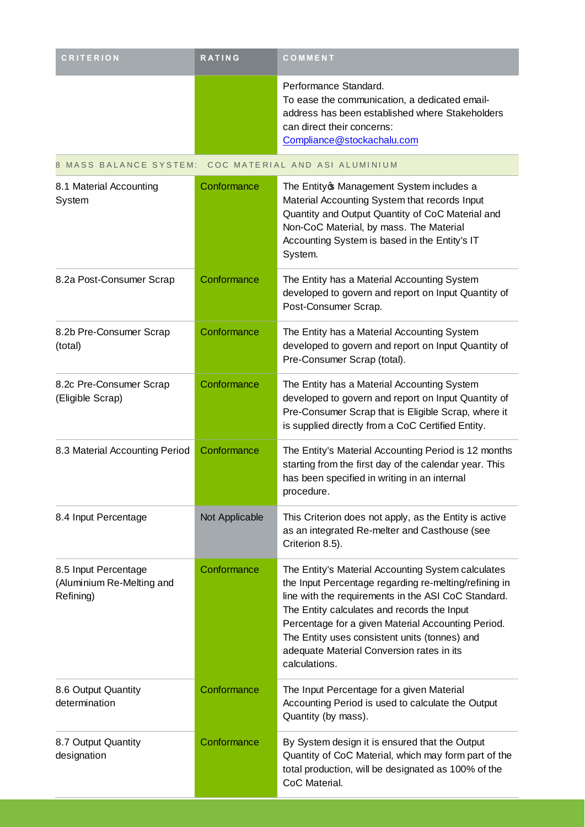| <b>CRITERION</b>                                               | RATING         | COMMENT                                                                                                                                                                                                                                                                                                                                                                                |
|----------------------------------------------------------------|----------------|----------------------------------------------------------------------------------------------------------------------------------------------------------------------------------------------------------------------------------------------------------------------------------------------------------------------------------------------------------------------------------------|
|                                                                |                | Performance Standard.<br>To ease the communication, a dedicated email-<br>address has been established where Stakeholders<br>can direct their concerns:<br>Compliance@stockachalu.com                                                                                                                                                                                                  |
| 8 MASS BALANCE SYSTEM:                                         |                | COC MATERIAL AND ASI ALUMINIUM                                                                                                                                                                                                                                                                                                                                                         |
| 8.1 Material Accounting<br>System                              | Conformance    | The Entityos Management System includes a<br>Material Accounting System that records Input<br>Quantity and Output Quantity of CoC Material and<br>Non-CoC Material, by mass. The Material<br>Accounting System is based in the Entity's IT<br>System.                                                                                                                                  |
| 8.2a Post-Consumer Scrap                                       | Conformance    | The Entity has a Material Accounting System<br>developed to govern and report on Input Quantity of<br>Post-Consumer Scrap.                                                                                                                                                                                                                                                             |
| 8.2b Pre-Consumer Scrap<br>(total)                             | Conformance    | The Entity has a Material Accounting System<br>developed to govern and report on Input Quantity of<br>Pre-Consumer Scrap (total).                                                                                                                                                                                                                                                      |
| 8.2c Pre-Consumer Scrap<br>(Eligible Scrap)                    | Conformance    | The Entity has a Material Accounting System<br>developed to govern and report on Input Quantity of<br>Pre-Consumer Scrap that is Eligible Scrap, where it<br>is supplied directly from a CoC Certified Entity.                                                                                                                                                                         |
| 8.3 Material Accounting Period                                 | Conformance    | The Entity's Material Accounting Period is 12 months<br>starting from the first day of the calendar year. This<br>has been specified in writing in an internal<br>procedure.                                                                                                                                                                                                           |
| 8.4 Input Percentage                                           | Not Applicable | This Criterion does not apply, as the Entity is active<br>as an integrated Re-melter and Casthouse (see<br>Criterion 8.5).                                                                                                                                                                                                                                                             |
| 8.5 Input Percentage<br>(Aluminium Re-Melting and<br>Refining) | Conformance    | The Entity's Material Accounting System calculates<br>the Input Percentage regarding re-melting/refining in<br>line with the requirements in the ASI CoC Standard.<br>The Entity calculates and records the Input<br>Percentage for a given Material Accounting Period.<br>The Entity uses consistent units (tonnes) and<br>adequate Material Conversion rates in its<br>calculations. |
| 8.6 Output Quantity<br>determination                           | Conformance    | The Input Percentage for a given Material<br>Accounting Period is used to calculate the Output<br>Quantity (by mass).                                                                                                                                                                                                                                                                  |
| 8.7 Output Quantity<br>designation                             | Conformance    | By System design it is ensured that the Output<br>Quantity of CoC Material, which may form part of the<br>total production, will be designated as 100% of the<br>CoC Material.                                                                                                                                                                                                         |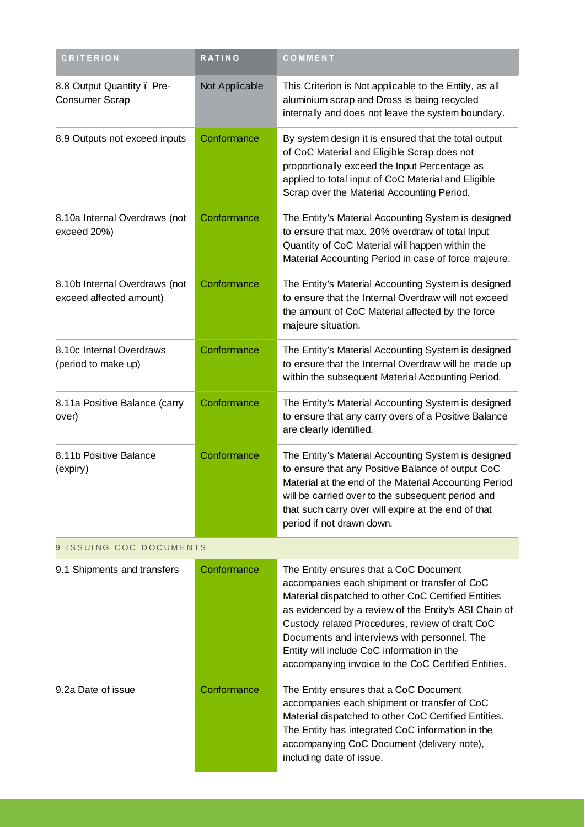| <b>CRITERION</b>                                         | <b>RATING</b>  | COMMENT                                                                                                                                                                                                                                                                                                                                                                                                        |
|----------------------------------------------------------|----------------|----------------------------------------------------------------------------------------------------------------------------------------------------------------------------------------------------------------------------------------------------------------------------------------------------------------------------------------------------------------------------------------------------------------|
| 8.8 Output Quantity. Pre-<br><b>Consumer Scrap</b>       | Not Applicable | This Criterion is Not applicable to the Entity, as all<br>aluminium scrap and Dross is being recycled<br>internally and does not leave the system boundary.                                                                                                                                                                                                                                                    |
| 8.9 Outputs not exceed inputs                            | Conformance    | By system design it is ensured that the total output<br>of CoC Material and Eligible Scrap does not<br>proportionally exceed the Input Percentage as<br>applied to total input of CoC Material and Eligible<br>Scrap over the Material Accounting Period.                                                                                                                                                      |
| 8.10a Internal Overdraws (not<br>exceed 20%)             | Conformance    | The Entity's Material Accounting System is designed<br>to ensure that max. 20% overdraw of total Input<br>Quantity of CoC Material will happen within the<br>Material Accounting Period in case of force majeure.                                                                                                                                                                                              |
| 8.10b Internal Overdraws (not<br>exceed affected amount) | Conformance    | The Entity's Material Accounting System is designed<br>to ensure that the Internal Overdraw will not exceed<br>the amount of CoC Material affected by the force<br>majeure situation.                                                                                                                                                                                                                          |
| 8.10c Internal Overdraws<br>(period to make up)          | Conformance    | The Entity's Material Accounting System is designed<br>to ensure that the Internal Overdraw will be made up<br>within the subsequent Material Accounting Period.                                                                                                                                                                                                                                               |
| 8.11a Positive Balance (carry<br>over)                   | Conformance    | The Entity's Material Accounting System is designed<br>to ensure that any carry overs of a Positive Balance<br>are clearly identified.                                                                                                                                                                                                                                                                         |
| 8.11b Positive Balance<br>(expiry)                       | Conformance    | The Entity's Material Accounting System is designed<br>to ensure that any Positive Balance of output CoC<br>Material at the end of the Material Accounting Period<br>will be carried over to the subsequent period and<br>that such carry over will expire at the end of that<br>period if not drawn down.                                                                                                     |
| 9 ISSUING COC DOCUMENTS                                  |                |                                                                                                                                                                                                                                                                                                                                                                                                                |
| 9.1 Shipments and transfers                              | Conformance    | The Entity ensures that a CoC Document<br>accompanies each shipment or transfer of CoC<br>Material dispatched to other CoC Certified Entities<br>as evidenced by a review of the Entity's ASI Chain of<br>Custody related Procedures, review of draft CoC<br>Documents and interviews with personnel. The<br>Entity will include CoC information in the<br>accompanying invoice to the CoC Certified Entities. |
| 9.2a Date of issue                                       | Conformance    | The Entity ensures that a CoC Document<br>accompanies each shipment or transfer of CoC<br>Material dispatched to other CoC Certified Entities.<br>The Entity has integrated CoC information in the<br>accompanying CoC Document (delivery note),<br>including date of issue.                                                                                                                                   |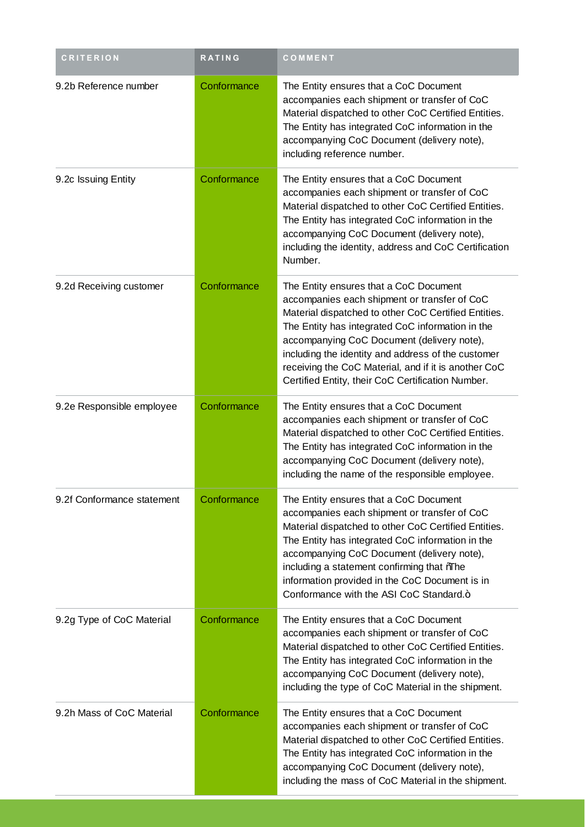| <b>CRITERION</b>           | <b>RATING</b> | COMMENT                                                                                                                                                                                                                                                                                                                                                                                                             |
|----------------------------|---------------|---------------------------------------------------------------------------------------------------------------------------------------------------------------------------------------------------------------------------------------------------------------------------------------------------------------------------------------------------------------------------------------------------------------------|
| 9.2b Reference number      | Conformance   | The Entity ensures that a CoC Document<br>accompanies each shipment or transfer of CoC<br>Material dispatched to other CoC Certified Entities.<br>The Entity has integrated CoC information in the<br>accompanying CoC Document (delivery note),<br>including reference number.                                                                                                                                     |
| 9.2c Issuing Entity        | Conformance   | The Entity ensures that a CoC Document<br>accompanies each shipment or transfer of CoC<br>Material dispatched to other CoC Certified Entities.<br>The Entity has integrated CoC information in the<br>accompanying CoC Document (delivery note),<br>including the identity, address and CoC Certification<br>Number.                                                                                                |
| 9.2d Receiving customer    | Conformance   | The Entity ensures that a CoC Document<br>accompanies each shipment or transfer of CoC<br>Material dispatched to other CoC Certified Entities.<br>The Entity has integrated CoC information in the<br>accompanying CoC Document (delivery note),<br>including the identity and address of the customer<br>receiving the CoC Material, and if it is another CoC<br>Certified Entity, their CoC Certification Number. |
| 9.2e Responsible employee  | Conformance   | The Entity ensures that a CoC Document<br>accompanies each shipment or transfer of CoC<br>Material dispatched to other CoC Certified Entities.<br>The Entity has integrated CoC information in the<br>accompanying CoC Document (delivery note),<br>including the name of the responsible employee.                                                                                                                 |
| 9.2f Conformance statement | Conformance   | The Entity ensures that a CoC Document<br>accompanies each shipment or transfer of CoC<br>Material dispatched to other CoC Certified Entities.<br>The Entity has integrated CoC information in the<br>accompanying CoC Document (delivery note),<br>including a statement confirming that %The<br>information provided in the CoC Document is in<br>Conformance with the ASI CoC Standard.+                         |
| 9.2g Type of CoC Material  | Conformance   | The Entity ensures that a CoC Document<br>accompanies each shipment or transfer of CoC<br>Material dispatched to other CoC Certified Entities.<br>The Entity has integrated CoC information in the<br>accompanying CoC Document (delivery note),<br>including the type of CoC Material in the shipment.                                                                                                             |
| 9.2h Mass of CoC Material  | Conformance   | The Entity ensures that a CoC Document<br>accompanies each shipment or transfer of CoC<br>Material dispatched to other CoC Certified Entities.<br>The Entity has integrated CoC information in the<br>accompanying CoC Document (delivery note),<br>including the mass of CoC Material in the shipment.                                                                                                             |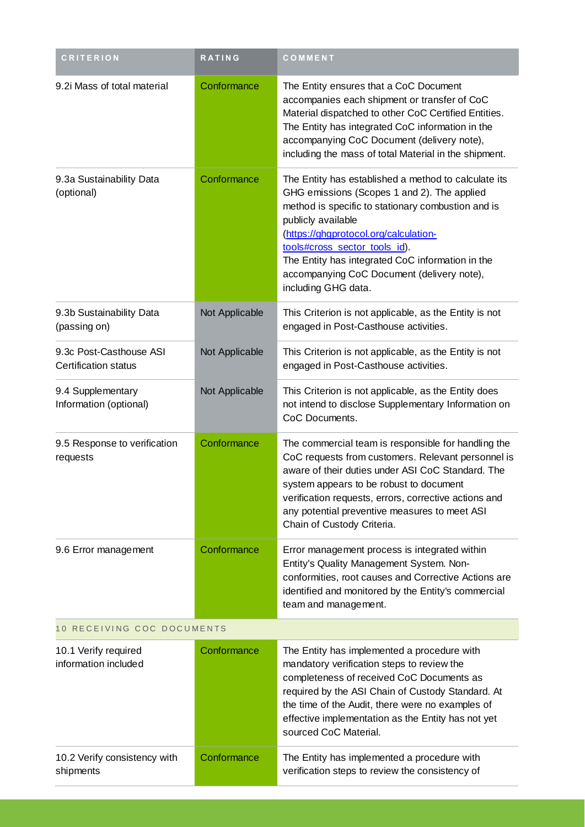| <b>CRITERION</b>                                       | RATING         | COMMENT                                                                                                                                                                                                                                                                                                                                                                            |
|--------------------------------------------------------|----------------|------------------------------------------------------------------------------------------------------------------------------------------------------------------------------------------------------------------------------------------------------------------------------------------------------------------------------------------------------------------------------------|
| 9.2i Mass of total material                            | Conformance    | The Entity ensures that a CoC Document<br>accompanies each shipment or transfer of CoC<br>Material dispatched to other CoC Certified Entities.<br>The Entity has integrated CoC information in the<br>accompanying CoC Document (delivery note),<br>including the mass of total Material in the shipment.                                                                          |
| 9.3a Sustainability Data<br>(optional)                 | Conformance    | The Entity has established a method to calculate its<br>GHG emissions (Scopes 1 and 2). The applied<br>method is specific to stationary combustion and is<br>publicly available<br>(https://ghgprotocol.org/calculation-<br>tools#cross_sector_tools_id).<br>The Entity has integrated CoC information in the<br>accompanying CoC Document (delivery note),<br>including GHG data. |
| 9.3b Sustainability Data<br>(passing on)               | Not Applicable | This Criterion is not applicable, as the Entity is not<br>engaged in Post-Casthouse activities.                                                                                                                                                                                                                                                                                    |
| 9.3c Post-Casthouse ASI<br><b>Certification status</b> | Not Applicable | This Criterion is not applicable, as the Entity is not<br>engaged in Post-Casthouse activities.                                                                                                                                                                                                                                                                                    |
| 9.4 Supplementary<br>Information (optional)            | Not Applicable | This Criterion is not applicable, as the Entity does<br>not intend to disclose Supplementary Information on<br>CoC Documents.                                                                                                                                                                                                                                                      |
| 9.5 Response to verification<br>requests               | Conformance    | The commercial team is responsible for handling the<br>CoC requests from customers. Relevant personnel is<br>aware of their duties under ASI CoC Standard. The<br>system appears to be robust to document<br>verification requests, errors, corrective actions and<br>any potential preventive measures to meet ASI<br>Chain of Custody Criteria.                                  |
| 9.6 Error management                                   | Conformance    | Error management process is integrated within<br>Entity's Quality Management System. Non-<br>conformities, root causes and Corrective Actions are<br>identified and monitored by the Entity's commercial<br>team and management.                                                                                                                                                   |
| 10 RECEIVING COC DOCUMENTS                             |                |                                                                                                                                                                                                                                                                                                                                                                                    |
| 10.1 Verify required<br>information included           | Conformance    | The Entity has implemented a procedure with<br>mandatory verification steps to review the<br>completeness of received CoC Documents as<br>required by the ASI Chain of Custody Standard. At<br>the time of the Audit, there were no examples of<br>effective implementation as the Entity has not yet<br>sourced CoC Material.                                                     |
| 10.2 Verify consistency with<br>shipments              | Conformance    | The Entity has implemented a procedure with<br>verification steps to review the consistency of                                                                                                                                                                                                                                                                                     |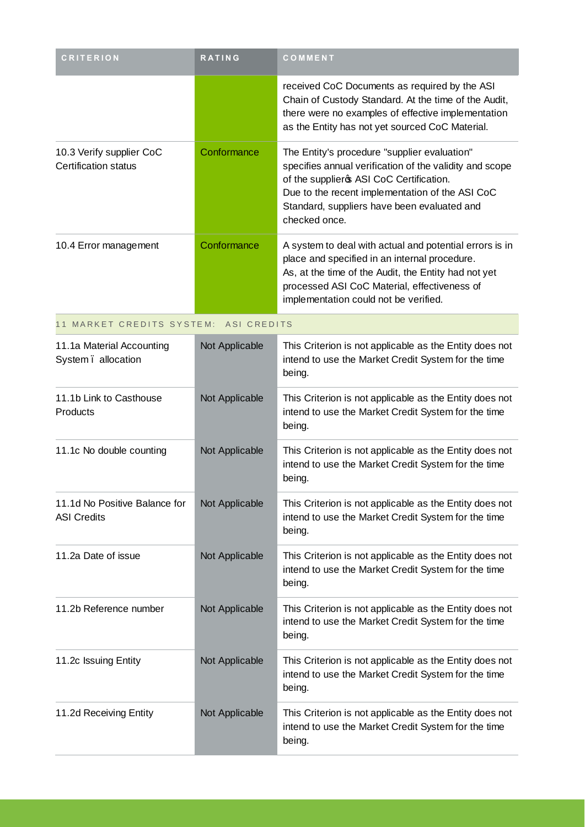| <b>CRITERION</b>                                        | <b>RATING</b>  | COMMENT                                                                                                                                                                                                                                                                |  |  |
|---------------------------------------------------------|----------------|------------------------------------------------------------------------------------------------------------------------------------------------------------------------------------------------------------------------------------------------------------------------|--|--|
|                                                         |                | received CoC Documents as required by the ASI<br>Chain of Custody Standard. At the time of the Audit,<br>there were no examples of effective implementation<br>as the Entity has not yet sourced CoC Material.                                                         |  |  |
| 10.3 Verify supplier CoC<br><b>Certification status</b> | Conformance    | The Entity's procedure "supplier evaluation"<br>specifies annual verification of the validity and scope<br>of the supplieros ASI CoC Certification.<br>Due to the recent implementation of the ASI CoC<br>Standard, suppliers have been evaluated and<br>checked once. |  |  |
| 10.4 Error management                                   | Conformance    | A system to deal with actual and potential errors is in<br>place and specified in an internal procedure.<br>As, at the time of the Audit, the Entity had not yet<br>processed ASI CoC Material, effectiveness of<br>implementation could not be verified.              |  |  |
| 11 MARKET CREDITS SYSTEM: ASI CREDITS                   |                |                                                                                                                                                                                                                                                                        |  |  |
| 11.1a Material Accounting<br>System. allocation         | Not Applicable | This Criterion is not applicable as the Entity does not<br>intend to use the Market Credit System for the time<br>being.                                                                                                                                               |  |  |
| 11.1b Link to Casthouse<br>Products                     | Not Applicable | This Criterion is not applicable as the Entity does not<br>intend to use the Market Credit System for the time<br>being.                                                                                                                                               |  |  |
| 11.1c No double counting                                | Not Applicable | This Criterion is not applicable as the Entity does not<br>intend to use the Market Credit System for the time<br>being.                                                                                                                                               |  |  |
| 11.1d No Positive Balance for<br><b>ASI Credits</b>     | Not Applicable | This Criterion is not applicable as the Entity does not<br>intend to use the Market Credit System for the time<br>being.                                                                                                                                               |  |  |
| 11.2a Date of issue                                     | Not Applicable | This Criterion is not applicable as the Entity does not<br>intend to use the Market Credit System for the time<br>being.                                                                                                                                               |  |  |
| 11.2b Reference number                                  | Not Applicable | This Criterion is not applicable as the Entity does not<br>intend to use the Market Credit System for the time<br>being.                                                                                                                                               |  |  |
| 11.2c Issuing Entity                                    | Not Applicable | This Criterion is not applicable as the Entity does not<br>intend to use the Market Credit System for the time<br>being.                                                                                                                                               |  |  |
| 11.2d Receiving Entity                                  | Not Applicable | This Criterion is not applicable as the Entity does not<br>intend to use the Market Credit System for the time<br>being.                                                                                                                                               |  |  |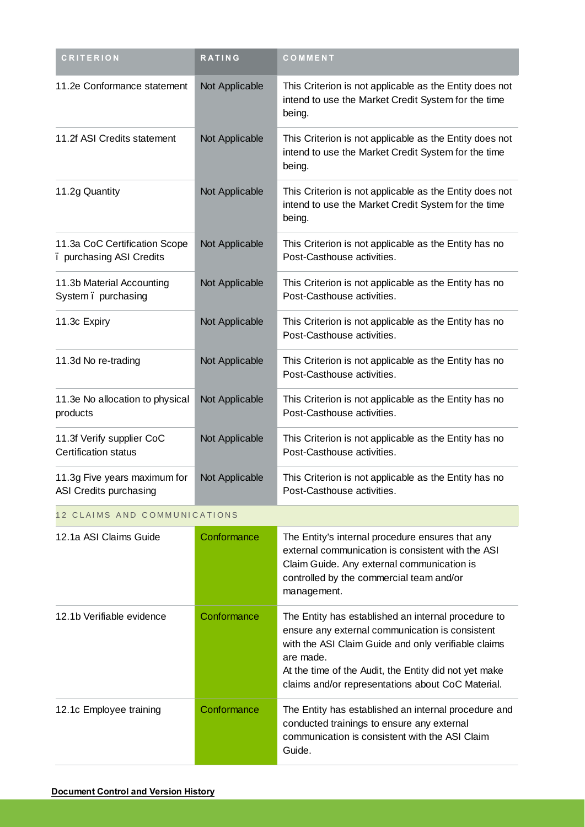| <b>CRITERION</b>                                          | <b>RATING</b>  | COMMENT                                                                                                                                                                                                                                                                                  |  |  |
|-----------------------------------------------------------|----------------|------------------------------------------------------------------------------------------------------------------------------------------------------------------------------------------------------------------------------------------------------------------------------------------|--|--|
| 11.2e Conformance statement                               | Not Applicable | This Criterion is not applicable as the Entity does not<br>intend to use the Market Credit System for the time<br>being.                                                                                                                                                                 |  |  |
| 11.2f ASI Credits statement                               | Not Applicable | This Criterion is not applicable as the Entity does not<br>intend to use the Market Credit System for the time<br>being.                                                                                                                                                                 |  |  |
| 11.2g Quantity                                            | Not Applicable | This Criterion is not applicable as the Entity does not<br>intend to use the Market Credit System for the time<br>being.                                                                                                                                                                 |  |  |
| 11.3a CoC Certification Scope<br>. purchasing ASI Credits | Not Applicable | This Criterion is not applicable as the Entity has no<br>Post-Casthouse activities.                                                                                                                                                                                                      |  |  |
| 11.3b Material Accounting<br>System. purchasing           | Not Applicable | This Criterion is not applicable as the Entity has no<br>Post-Casthouse activities.                                                                                                                                                                                                      |  |  |
| 11.3c Expiry                                              | Not Applicable | This Criterion is not applicable as the Entity has no<br>Post-Casthouse activities.                                                                                                                                                                                                      |  |  |
| 11.3d No re-trading                                       | Not Applicable | This Criterion is not applicable as the Entity has no<br>Post-Casthouse activities.                                                                                                                                                                                                      |  |  |
| 11.3e No allocation to physical<br>products               | Not Applicable | This Criterion is not applicable as the Entity has no<br>Post-Casthouse activities.                                                                                                                                                                                                      |  |  |
| 11.3f Verify supplier CoC<br><b>Certification status</b>  | Not Applicable | This Criterion is not applicable as the Entity has no<br>Post-Casthouse activities.                                                                                                                                                                                                      |  |  |
| 11.3g Five years maximum for<br>ASI Credits purchasing    | Not Applicable | This Criterion is not applicable as the Entity has no<br>Post-Casthouse activities.                                                                                                                                                                                                      |  |  |
| 12 CLAIMS AND COMMUNICATIONS                              |                |                                                                                                                                                                                                                                                                                          |  |  |
| 12.1a ASI Claims Guide                                    | Conformance    | The Entity's internal procedure ensures that any<br>external communication is consistent with the ASI<br>Claim Guide. Any external communication is<br>controlled by the commercial team and/or<br>management.                                                                           |  |  |
| 12.1b Verifiable evidence                                 | Conformance    | The Entity has established an internal procedure to<br>ensure any external communication is consistent<br>with the ASI Claim Guide and only verifiable claims<br>are made.<br>At the time of the Audit, the Entity did not yet make<br>claims and/or representations about CoC Material. |  |  |
| 12.1c Employee training                                   | Conformance    | The Entity has established an internal procedure and<br>conducted trainings to ensure any external<br>communication is consistent with the ASI Claim<br>Guide.                                                                                                                           |  |  |